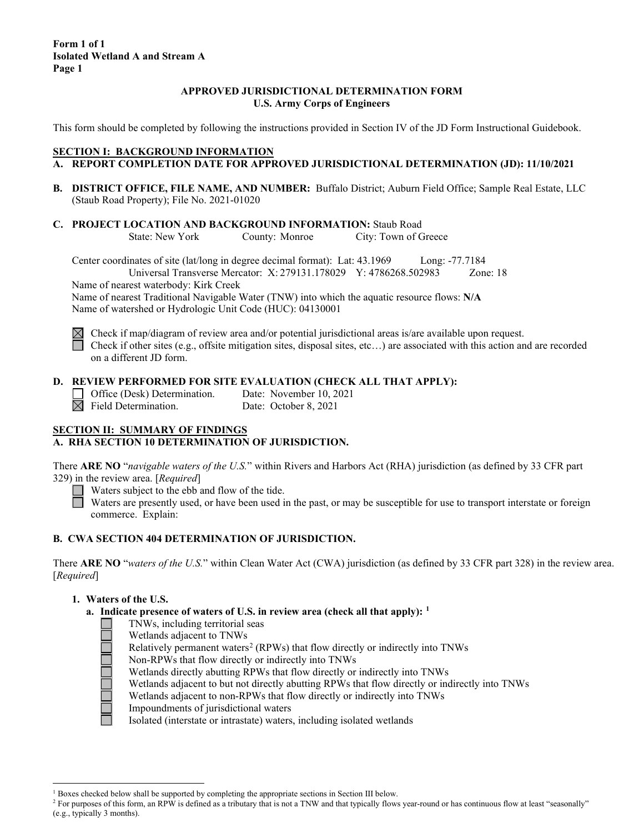### **APPROVED JURISDICTIONAL DETERMINATION FORM U.S. Army Corps of Engineers**

This form should be completed by following the instructions provided in Section IV of the JD Form Instructional Guidebook.

### **SECTION I: BACKGROUND INFORMATION**

- **A. REPORT COMPLETION DATE FOR APPROVED JURISDICTIONAL DETERMINATION (JD): 11/10/2021**
- **B. DISTRICT OFFICE, FILE NAME, AND NUMBER:** Buffalo District; Auburn Field Office; Sample Real Estate, LLC (Staub Road Property); File No. 2021-01020
- **C. PROJECT LOCATION AND BACKGROUND INFORMATION:** Staub Road<br>State: New York County: Monroe City: Town of C City: Town of Greece

Center coordinates of site (lat/long in degree decimal format): Lat: 43.1969 Long: -77.7184 Universal Transverse Mercator: X: 279131.178029 Y: 4786268.502983 Zone: 18

Name of nearest waterbody: Kirk Creek

Name of nearest Traditional Navigable Water (TNW) into which the aquatic resource flows: **N/A** Name of watershed or Hydrologic Unit Code (HUC): 04130001

 $\boxtimes$  Check if map/diagram of review area and/or potential jurisdictional areas is/are available upon request. Check if other sites (e.g., offsite mitigation sites, disposal sites, etc...) are associated with this action and are recorded on a different JD form.

### **D. REVIEW PERFORMED FOR SITE EVALUATION (CHECK ALL THAT APPLY):**

Office (Desk) Determination. Date: November 10, 2021  $\overline{\boxtimes}$  Field Determination. Date: October 8, 2021

# **SECTION II: SUMMARY OF FINDINGS A. RHA SECTION 10 DETERMINATION OF JURISDICTION.**

There **ARE NO** "*navigable waters of the U.S.*" within Rivers and Harbors Act (RHA) jurisdiction (as defined by 33 CFR part 329) in the review area. [*Required*]

Waters subject to the ebb and flow of the tide.

Waters are presently used, or have been used in the past, or may be susceptible for use to transport interstate or foreign commerce. Explain:

### **B. CWA SECTION 404 DETERMINATION OF JURISDICTION.**

There **ARE NO** "*waters of the U.S.*" within Clean Water Act (CWA) jurisdiction (as defined by 33 CFR part 328) in the review area. [*Required*]

### **1. Waters of the U.S.**

- **a. Indicate presence of waters of U.S. in review area (check all that apply): [1](#page-0-0)**
	- TNWs, including territorial seas
		- Wetlands adjacent to TNWs
	- Relatively permanent waters<sup>[2](#page-0-1)</sup> (RPWs) that flow directly or indirectly into TNWs
	- Non-RPWs that flow directly or indirectly into TNWs
	- Wetlands directly abutting RPWs that flow directly or indirectly into TNWs
	- Wetlands adjacent to but not directly abutting RPWs that flow directly or indirectly into TNWs
	- Wetlands adjacent to non-RPWs that flow directly or indirectly into TNWs
	- Impoundments of jurisdictional waters

Isolated (interstate or intrastate) waters, including isolated wetlands

<sup>&</sup>lt;sup>1</sup> Boxes checked below shall be supported by completing the appropriate sections in Section III below.

<span id="page-0-1"></span><span id="page-0-0"></span><sup>&</sup>lt;sup>2</sup> For purposes of this form, an RPW is defined as a tributary that is not a TNW and that typically flows year-round or has continuous flow at least "seasonally" (e.g., typically 3 months).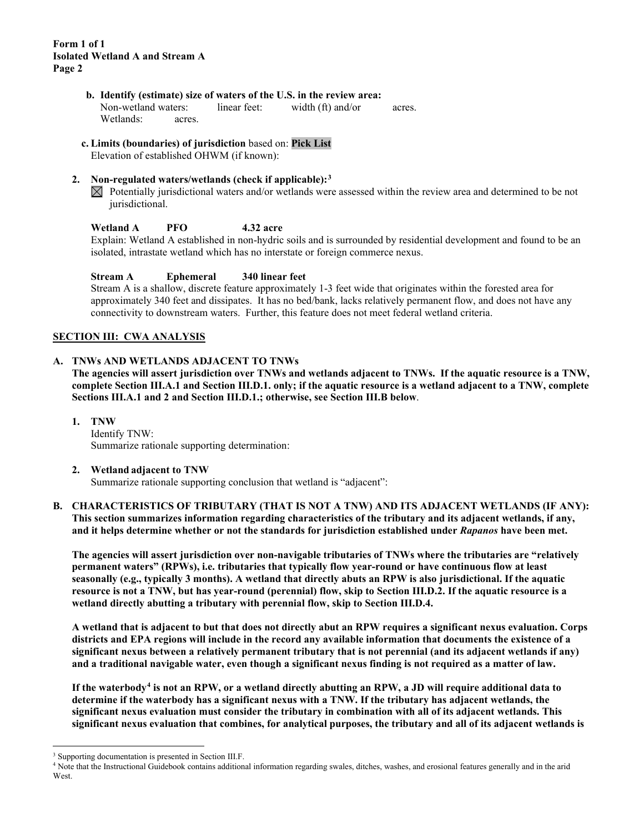- **b. Identify (estimate) size of waters of the U.S. in the review area:** Non-wetland waters: linear feet: width (ft) and/or acres. Wetlands: acres.
- **c. Limits (boundaries) of jurisdiction** based on: **Pick List**

Elevation of established OHWM (if known):

- **2. Non-regulated waters/wetlands (check if applicable):[3](#page-1-0)**
	- $\boxtimes$  Potentially jurisdictional waters and/or wetlands were assessed within the review area and determined to be not jurisdictional.

**Wetland A PFO 4.32 acre**

Explain: Wetland A established in non-hydric soils and is surrounded by residential development and found to be an isolated, intrastate wetland which has no interstate or foreign commerce nexus.

# **Stream A Ephemeral 340 linear feet**

Stream A is a shallow, discrete feature approximately 1-3 feet wide that originates within the forested area for approximately 340 feet and dissipates. It has no bed/bank, lacks relatively permanent flow, and does not have any connectivity to downstream waters. Further, this feature does not meet federal wetland criteria.

# **SECTION III: CWA ANALYSIS**

# **A. TNWs AND WETLANDS ADJACENT TO TNWs**

**The agencies will assert jurisdiction over TNWs and wetlands adjacent to TNWs. If the aquatic resource is a TNW, complete Section III.A.1 and Section III.D.1. only; if the aquatic resource is a wetland adjacent to a TNW, complete Sections III.A.1 and 2 and Section III.D.1.; otherwise, see Section III.B below**.

**1. TNW**  Identify TNW: Summarize rationale supporting determination:

**2. Wetland adjacent to TNW** 

Summarize rationale supporting conclusion that wetland is "adjacent":

### **B. CHARACTERISTICS OF TRIBUTARY (THAT IS NOT A TNW) AND ITS ADJACENT WETLANDS (IF ANY): This section summarizes information regarding characteristics of the tributary and its adjacent wetlands, if any, and it helps determine whether or not the standards for jurisdiction established under** *Rapanos* **have been met.**

**The agencies will assert jurisdiction over non-navigable tributaries of TNWs where the tributaries are "relatively permanent waters" (RPWs), i.e. tributaries that typically flow year-round or have continuous flow at least seasonally (e.g., typically 3 months). A wetland that directly abuts an RPW is also jurisdictional. If the aquatic resource is not a TNW, but has year-round (perennial) flow, skip to Section III.D.2. If the aquatic resource is a wetland directly abutting a tributary with perennial flow, skip to Section III.D.4.** 

**A wetland that is adjacent to but that does not directly abut an RPW requires a significant nexus evaluation. Corps districts and EPA regions will include in the record any available information that documents the existence of a significant nexus between a relatively permanent tributary that is not perennial (and its adjacent wetlands if any) and a traditional navigable water, even though a significant nexus finding is not required as a matter of law.**

**If the waterbody[4](#page-1-1) is not an RPW, or a wetland directly abutting an RPW, a JD will require additional data to determine if the waterbody has a significant nexus with a TNW. If the tributary has adjacent wetlands, the significant nexus evaluation must consider the tributary in combination with all of its adjacent wetlands. This significant nexus evaluation that combines, for analytical purposes, the tributary and all of its adjacent wetlands is** 

<span id="page-1-0"></span><sup>3</sup> Supporting documentation is presented in Section III.F.

<span id="page-1-1"></span><sup>4</sup> Note that the Instructional Guidebook contains additional information regarding swales, ditches, washes, and erosional features generally and in the arid **West**.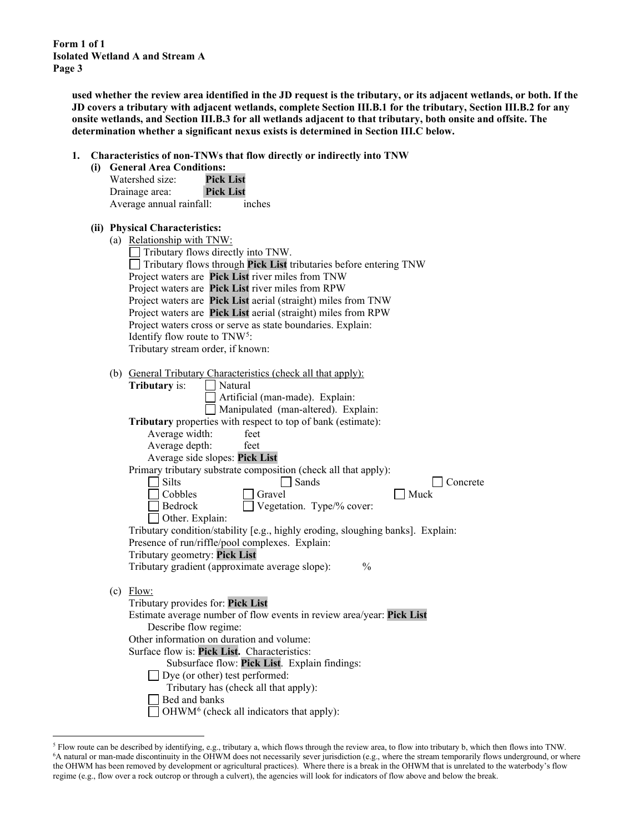> **used whether the review area identified in the JD request is the tributary, or its adjacent wetlands, or both. If the JD covers a tributary with adjacent wetlands, complete Section III.B.1 for the tributary, Section III.B.2 for any onsite wetlands, and Section III.B.3 for all wetlands adjacent to that tributary, both onsite and offsite. The determination whether a significant nexus exists is determined in Section III.C below.**

**1. Characteristics of non-TNWs that flow directly or indirectly into TNW**

|     | Characteristics of non-TNWs that flow directly or indirectly into TNW           |
|-----|---------------------------------------------------------------------------------|
| (i) | <b>General Area Conditions:</b>                                                 |
|     | Watershed size:<br><b>Pick List</b>                                             |
|     | <b>Pick List</b><br>Drainage area:                                              |
|     | Average annual rainfall:<br>inches                                              |
|     |                                                                                 |
|     | (ii) Physical Characteristics:                                                  |
|     | (a) Relationship with TNW:                                                      |
|     | Tributary flows directly into TNW.                                              |
|     | $\Box$ Tributary flows through Pick List tributaries before entering TNW        |
|     | Project waters are Pick List river miles from TNW                               |
|     | Project waters are Pick List river miles from RPW                               |
|     | Project waters are Pick List aerial (straight) miles from TNW                   |
|     | Project waters are Pick List aerial (straight) miles from RPW                   |
|     | Project waters cross or serve as state boundaries. Explain:                     |
|     | Identify flow route to TNW <sup>5</sup> :                                       |
|     | Tributary stream order, if known:                                               |
|     |                                                                                 |
|     | (b) General Tributary Characteristics (check all that apply):                   |
|     | <b>Tributary</b> is:<br>Natural                                                 |
|     | Artificial (man-made). Explain:                                                 |
|     | Manipulated (man-altered). Explain:                                             |
|     | Tributary properties with respect to top of bank (estimate):                    |
|     | Average width:<br>feet                                                          |
|     | Average depth:<br>feet                                                          |
|     | Average side slopes: Pick List                                                  |
|     | Primary tributary substrate composition (check all that apply):                 |
|     | <b>Silts</b><br>Sands<br>Concrete                                               |
|     | Cobbles<br>Gravel<br>Muck                                                       |
|     | Vegetation. Type/% cover:<br>Bedrock                                            |
|     | Other. Explain:                                                                 |
|     | Tributary condition/stability [e.g., highly eroding, sloughing banks]. Explain: |
|     | Presence of run/riffle/pool complexes. Explain:                                 |
|     | Tributary geometry: Pick List                                                   |
|     | Tributary gradient (approximate average slope):<br>$\frac{0}{0}$                |
|     |                                                                                 |
|     | $(c)$ Flow:                                                                     |
|     | Tributary provides for: Pick List                                               |
|     | Estimate average number of flow events in review area/year: Pick List           |
|     | Describe flow regime:                                                           |
|     | Other information on duration and volume:                                       |
|     | Surface flow is: Pick List. Characteristics:                                    |
|     | Subsurface flow: Pick List. Explain findings:                                   |
|     | $\Box$ Dye (or other) test performed:                                           |
|     | Tributary has (check all that apply):                                           |
|     | Bed and banks                                                                   |
|     | OHWM <sup>6</sup> (check all indicators that apply):                            |

<span id="page-2-1"></span><span id="page-2-0"></span><sup>&</sup>lt;sup>5</sup> Flow route can be described by identifying, e.g., tributary a, which flows through the review area, to flow into tributary b, which then flows into TNW.<br><sup>6</sup>A natural or man-made discontinuity in the OHWM does not nece the OHWM has been removed by development or agricultural practices). Where there is a break in the OHWM that is unrelated to the waterbody's flow regime (e.g., flow over a rock outcrop or through a culvert), the agencies will look for indicators of flow above and below the break.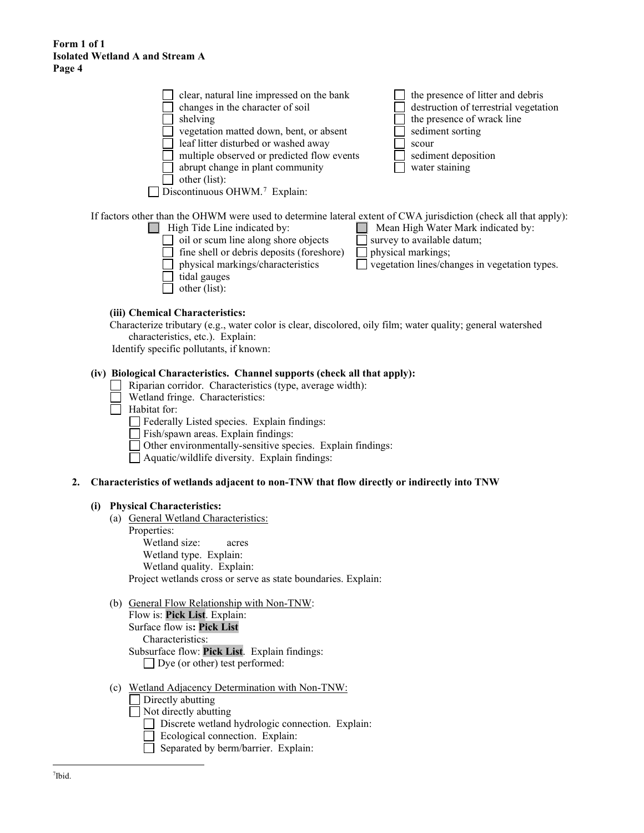| clear, natural line impressed on the bank<br>changes in the character of soil<br>shelving<br>vegetation matted down, bent, or absent<br>leaf litter disturbed or washed away<br>multiple observed or predicted flow events<br>abrupt change in plant community<br>other (list):            | the presence of litter and debris<br>destruction of terrestrial vegetation<br>the presence of wrack line<br>sediment sorting<br>scour<br>sediment deposition<br>water staining |
|--------------------------------------------------------------------------------------------------------------------------------------------------------------------------------------------------------------------------------------------------------------------------------------------|--------------------------------------------------------------------------------------------------------------------------------------------------------------------------------|
| Discontinuous OHWM. <sup>7</sup> Explain:                                                                                                                                                                                                                                                  |                                                                                                                                                                                |
| If factors other than the OHWM were used to determine lateral extent of CWA jurisdiction (check all that apply):<br>High Tide Line indicated by:<br>oil or scum line along shore objects<br>fine shell or debris deposits (foreshore)<br>physical markings/characteristics<br>tidal gauges | Mean High Water Mark indicated by:<br>survey to available datum;<br>physical markings;<br>vegetation lines/changes in vegetation types.                                        |

- - other (list):

#### **(iii) Chemical Characteristics:**

Characterize tributary (e.g., water color is clear, discolored, oily film; water quality; general watershed characteristics, etc.). Explain:

Identify specific pollutants, if known:

# **(iv) Biological Characteristics. Channel supports (check all that apply):**

- Riparian corridor. Characteristics (type, average width):  $\Box$
- Wetland fringe. Characteristics:
- $\Box$  Habitat for:
	- Federally Listed species. Explain findings:
	- Fish/spawn areas. Explain findings:
	- Other environmentally-sensitive species. Explain findings:
	- Aquatic/wildlife diversity. Explain findings:

#### **2. Characteristics of wetlands adjacent to non-TNW that flow directly or indirectly into TNW**

#### **(i) Physical Characteristics:**

- (a) General Wetland Characteristics: Properties: Wetland size: acres Wetland type. Explain: Wetland quality. Explain: Project wetlands cross or serve as state boundaries. Explain:
- (b) General Flow Relationship with Non-TNW: Flow is: **Pick List**. Explain: Surface flow is**: Pick List** 
	- Characteristics: Subsurface flow: **Pick List**. Explain findings: Dye (or other) test performed:
- <span id="page-3-0"></span>(c) Wetland Adjacency Determination with Non-TNW:
	- Directly abutting
	- Not directly abutting
		- Discrete wetland hydrologic connection. Explain:
		- $\Box$  Ecological connection. Explain:
		- Separated by berm/barrier. Explain: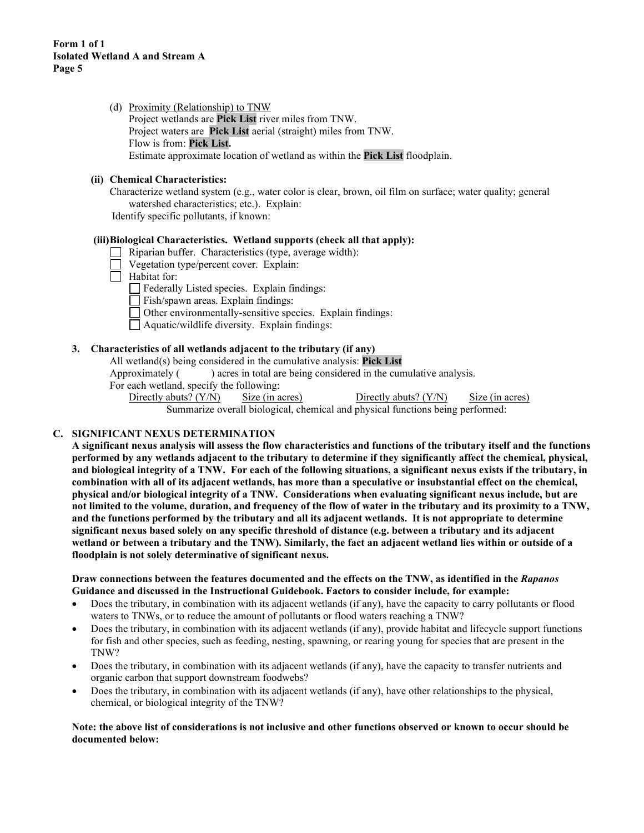(d) Proximity (Relationship) to TNW Project wetlands are **Pick List** river miles from TNW. Project waters are **Pick List** aerial (straight) miles from TNW. Flow is from: **Pick List.** Estimate approximate location of wetland as within the **Pick List** floodplain.

# **(ii) Chemical Characteristics:**

Characterize wetland system (e.g., water color is clear, brown, oil film on surface; water quality; general watershed characteristics; etc.). Explain: Identify specific pollutants, if known:

#### **(iii)Biological Characteristics. Wetland supports (check all that apply):**

- Riparian buffer. Characteristics (type, average width):
- Vegetation type/percent cover. Explain:
- Habitat for:
	- Federally Listed species. Explain findings:
	- Fish/spawn areas. Explain findings:
	- Other environmentally-sensitive species. Explain findings:
	- Aquatic/wildlife diversity. Explain findings:

### **3. Characteristics of all wetlands adjacent to the tributary (if any)**

All wetland(s) being considered in the cumulative analysis: **Pick List**

Approximately ( ) acres in total are being considered in the cumulative analysis.

For each wetland, specify the following:

Directly abuts? (Y/N) Size (in acres) Directly abuts? (Y/N) Size (in acres) Summarize overall biological, chemical and physical functions being performed:

### **C. SIGNIFICANT NEXUS DETERMINATION**

**A significant nexus analysis will assess the flow characteristics and functions of the tributary itself and the functions performed by any wetlands adjacent to the tributary to determine if they significantly affect the chemical, physical, and biological integrity of a TNW. For each of the following situations, a significant nexus exists if the tributary, in combination with all of its adjacent wetlands, has more than a speculative or insubstantial effect on the chemical, physical and/or biological integrity of a TNW. Considerations when evaluating significant nexus include, but are not limited to the volume, duration, and frequency of the flow of water in the tributary and its proximity to a TNW, and the functions performed by the tributary and all its adjacent wetlands. It is not appropriate to determine significant nexus based solely on any specific threshold of distance (e.g. between a tributary and its adjacent wetland or between a tributary and the TNW). Similarly, the fact an adjacent wetland lies within or outside of a floodplain is not solely determinative of significant nexus.** 

#### **Draw connections between the features documented and the effects on the TNW, as identified in the** *Rapanos* **Guidance and discussed in the Instructional Guidebook. Factors to consider include, for example:**

- Does the tributary, in combination with its adjacent wetlands (if any), have the capacity to carry pollutants or flood waters to TNWs, or to reduce the amount of pollutants or flood waters reaching a TNW?
- Does the tributary, in combination with its adjacent wetlands (if any), provide habitat and lifecycle support functions for fish and other species, such as feeding, nesting, spawning, or rearing young for species that are present in the TNW?
- Does the tributary, in combination with its adjacent wetlands (if any), have the capacity to transfer nutrients and organic carbon that support downstream foodwebs?
- Does the tributary, in combination with its adjacent wetlands (if any), have other relationships to the physical, chemical, or biological integrity of the TNW?

#### **Note: the above list of considerations is not inclusive and other functions observed or known to occur should be documented below:**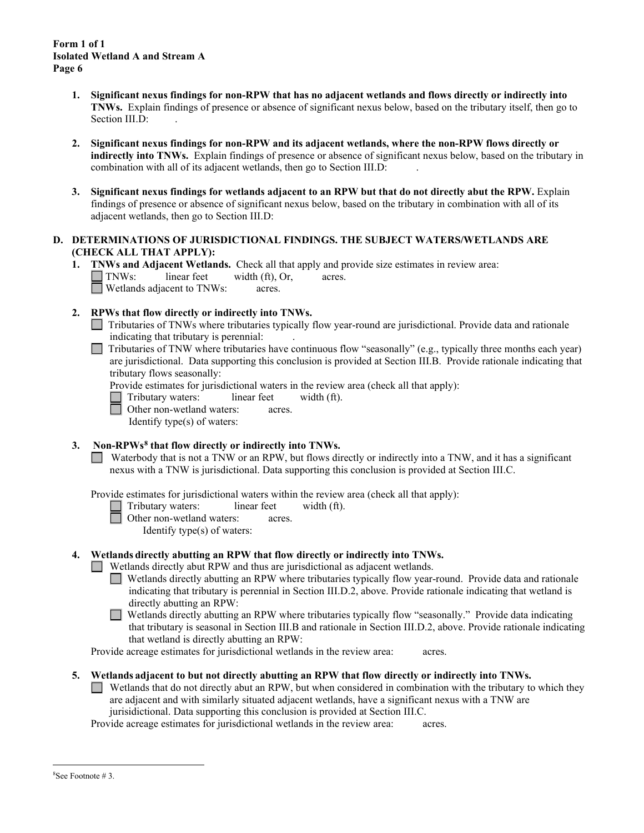- **1. Significant nexus findings for non-RPW that has no adjacent wetlands and flows directly or indirectly into TNWs.** Explain findings of presence or absence of significant nexus below, based on the tributary itself, then go to Section III.D:
- **2. Significant nexus findings for non-RPW and its adjacent wetlands, where the non-RPW flows directly or indirectly into TNWs.** Explain findings of presence or absence of significant nexus below, based on the tributary in combination with all of its adjacent wetlands, then go to Section III.D: .
- **3. Significant nexus findings for wetlands adjacent to an RPW but that do not directly abut the RPW.** Explain findings of presence or absence of significant nexus below, based on the tributary in combination with all of its adjacent wetlands, then go to Section III.D:

# **D. DETERMINATIONS OF JURISDICTIONAL FINDINGS. THE SUBJECT WATERS/WETLANDS ARE (CHECK ALL THAT APPLY):**

- **1. TNWs and Adjacent Wetlands.** Check all that apply and provide size estimates in review area: TNWs: linear feet width (ft), Or, acres. Wetlands adjacent to TNWs: acres.
- **2. RPWs that flow directly or indirectly into TNWs.**
	- Tributaries of TNWs where tributaries typically flow year-round are jurisdictional. Provide data and rationale indicating that tributary is perennial: .
	- $\Box$ Tributaries of TNW where tributaries have continuous flow "seasonally" (e.g., typically three months each year) are jurisdictional. Data supporting this conclusion is provided at Section III.B. Provide rationale indicating that tributary flows seasonally:

Provide estimates for jurisdictional waters in the review area (check all that apply):

Tributary waters: linear feet width (ft).

Other non-wetland waters: acres.

Identify type(s) of waters:

# **3. Non-RPWs[8](#page-5-0) that flow directly or indirectly into TNWs.**

Waterbody that is not a TNW or an RPW, but flows directly or indirectly into a TNW, and it has a significant nexus with a TNW is jurisdictional. Data supporting this conclusion is provided at Section III.C.

Provide estimates for jurisdictional waters within the review area (check all that apply):

- Tributary waters: linear feet width (ft).
	- Other non-wetland waters: acres.
		- Identify type(s) of waters:

### **4. Wetlands directly abutting an RPW that flow directly or indirectly into TNWs.**

- Wetlands directly abut RPW and thus are jurisdictional as adjacent wetlands.
	- Wetlands directly abutting an RPW where tributaries typically flow year-round. Provide data and rationale indicating that tributary is perennial in Section III.D.2, above. Provide rationale indicating that wetland is directly abutting an RPW:
	- Wetlands directly abutting an RPW where tributaries typically flow "seasonally." Provide data indicating П that tributary is seasonal in Section III.B and rationale in Section III.D.2, above. Provide rationale indicating that wetland is directly abutting an RPW:

Provide acreage estimates for jurisdictional wetlands in the review area: acres.

**5. Wetlands adjacent to but not directly abutting an RPW that flow directly or indirectly into TNWs.**

Wetlands that do not directly abut an RPW, but when considered in combination with the tributary to which they  $\Box$ are adjacent and with similarly situated adjacent wetlands, have a significant nexus with a TNW are jurisidictional. Data supporting this conclusion is provided at Section III.C.

Provide acreage estimates for jurisdictional wetlands in the review area: acres.

<span id="page-5-0"></span><sup>8</sup> See Footnote # 3.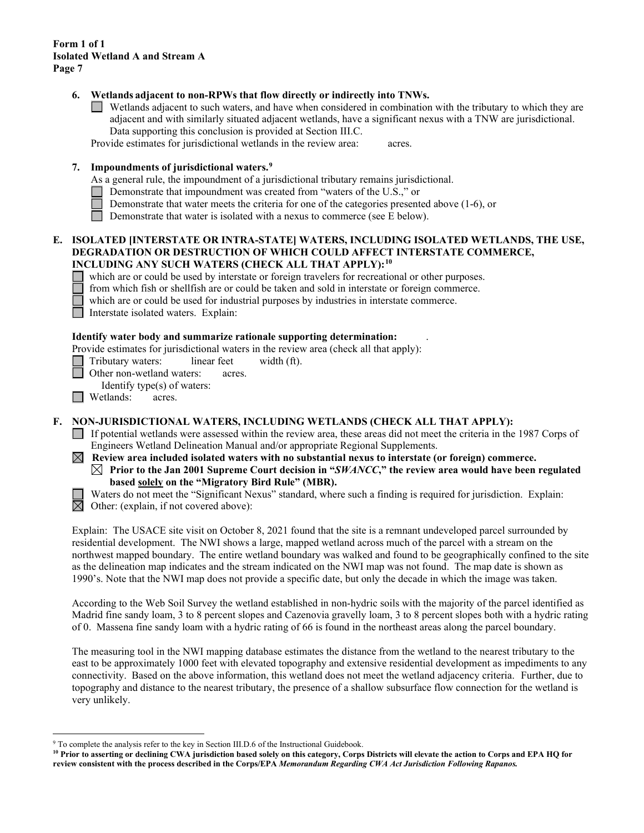### **6. Wetlands adjacent to non-RPWs that flow directly or indirectly into TNWs.**

Wetlands adjacent to such waters, and have when considered in combination with the tributary to which they are adjacent and with similarly situated adjacent wetlands, have a significant nexus with a TNW are jurisdictional. Data supporting this conclusion is provided at Section III.C.

Provide estimates for jurisdictional wetlands in the review area: acres.

### **7. Impoundments of jurisdictional waters. [9](#page-6-0)**

As a general rule, the impoundment of a jurisdictional tributary remains jurisdictional.

- Demonstrate that impoundment was created from "waters of the U.S.," or
- Demonstrate that water meets the criteria for one of the categories presented above (1-6), or
- Demonstrate that water is isolated with a nexus to commerce (see E below).

#### **E. ISOLATED [INTERSTATE OR INTRA-STATE] WATERS, INCLUDING ISOLATED WETLANDS, THE USE, DEGRADATION OR DESTRUCTION OF WHICH COULD AFFECT INTERSTATE COMMERCE, INCLUDING ANY SUCH WATERS (CHECK ALL THAT APPLY):[10](#page-6-1)**

which are or could be used by interstate or foreign travelers for recreational or other purposes.

- from which fish or shellfish are or could be taken and sold in interstate or foreign commerce.
- which are or could be used for industrial purposes by industries in interstate commerce.

Interstate isolated waters.Explain:

#### **Identify water body and summarize rationale supporting determination:** .

Provide estimates for jurisdictional waters in the review area (check all that apply):

Tributary waters: linear feet width (ft).

Other non-wetland waters: acres.

Identify type(s) of waters:

**I** Wetlands: acres.

#### **F. NON-JURISDICTIONAL WATERS, INCLUDING WETLANDS (CHECK ALL THAT APPLY):**

- If potential wetlands were assessed within the review area, these areas did not meet the criteria in the 1987 Corps of Engineers Wetland Delineation Manual and/or appropriate Regional Supplements.
- $\boxtimes$  Review area included isolated waters with no substantial nexus to interstate (or foreign) commerce.  $\boxtimes$  Prior to the Jan 2001 Supreme Court decision in "*SWANCC*," the review area would have been regulated **based solely on the "Migratory Bird Rule" (MBR).**



Waters do not meet the "Significant Nexus" standard, where such a finding is required for jurisdiction. Explain:  $\overline{\boxtimes}$  Other: (explain, if not covered above):

Explain: The USACE site visit on October 8, 2021 found that the site is a remnant undeveloped parcel surrounded by residential development. The NWI shows a large, mapped wetland across much of the parcel with a stream on the northwest mapped boundary. The entire wetland boundary was walked and found to be geographically confined to the site as the delineation map indicates and the stream indicated on the NWI map was not found. The map date is shown as 1990's. Note that the NWI map does not provide a specific date, but only the decade in which the image was taken.

According to the Web Soil Survey the wetland established in non-hydric soils with the majority of the parcel identified as Madrid fine sandy loam, 3 to 8 percent slopes and Cazenovia gravelly loam, 3 to 8 percent slopes both with a hydric rating of 0. Massena fine sandy loam with a hydric rating of 66 is found in the northeast areas along the parcel boundary.

The measuring tool in the NWI mapping database estimates the distance from the wetland to the nearest tributary to the east to be approximately 1000 feet with elevated topography and extensive residential development as impediments to any connectivity. Based on the above information, this wetland does not meet the wetland adjacency criteria.Further, due to topography and distance to the nearest tributary, the presence of a shallow subsurface flow connection for the wetland is very unlikely.

<span id="page-6-0"></span><sup>&</sup>lt;sup>9</sup> To complete the analysis refer to the key in Section III.D.6 of the Instructional Guidebook.

<span id="page-6-1"></span>**<sup>10</sup> Prior to asserting or declining CWA jurisdiction based solely on this category, Corps Districts will elevate the action to Corps and EPA HQ for review consistent with the process described in the Corps/EPA** *Memorandum Regarding CWA Act Jurisdiction Following Rapanos.*